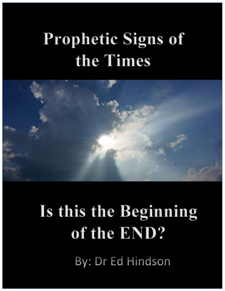## Prophetic Signs of the Times



# Is this the Beginning of the END?

By: Dr Ed Hindson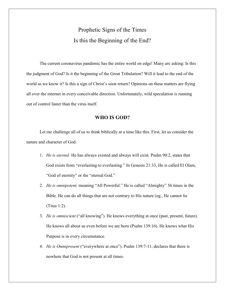### Prophetic Signs of the Times Is this the Beginning of the End?

 The current coronavirus pandemic has the entire world on edge! Many are asking: Is this the judgment of God? Is it the beginning of the Great Tribulation? Will it lead to the end of the world as we know it? Is this a sign of Christ's soon return? Opinions on these matters are flying all over the internet in every conceivable direction. Unfortunately, wild speculation is running out of control faster than the virus itself.

#### WHO IS GOD?

 Let me challenge all of us to think biblically at a time like this. First, let us consider the nature and character of God.

- 1. He is eternal. He has always existed and always will exist. Psalm 90:2, states that God exists from "everlasting to everlasting." In Genesis 21:33, He is called El Olam, "God of eternity" or the "eternal God."
- 2. He is omnipotent, meaning "All Powerful." He is called "Almighty" 56 times in the Bible. He can do all things that are not contrary to His nature (eg., He cannot lie (Titus 1:2).
- 3. He is omniscient ("all knowing"). He knows everything at once (past, present, future). He knows all about us even before we are born (Psalm 139:16). He knows what His Purpose is in every circumstance.
- 4. He is Omnipresent ("everywhere at once"). Psalm 139:7-11, declares that there is nowhere that God is not present at all times.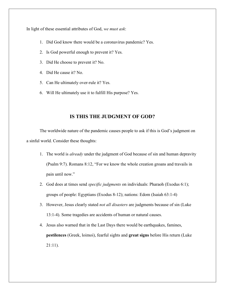In light of these essential attributes of God, we must ask:

- 1. Did God know there would be a coronavirus pandemic? Yes.
- 2. Is God powerful enough to prevent it? Yes.
- 3. Did He choose to prevent it? No.
- 4. Did He cause it? No.
- 5. Can He ultimately over-rule it? Yes.
- 6. Will He ultimately use it to fulfill His purpose? Yes.

#### IS THIS THE JUDGMENT OF GOD?

 The worldwide nature of the pandemic causes people to ask if this is God's judgment on a sinful world. Consider these thoughts:

- 1. The world is already under the judgment of God because of sin and human depravity (Psalm 9:7). Romans 8:12, "For we know the whole creation groans and travails in pain until now."
- 2. God does at times send *specific judgments* on individuals: Pharaoh (Exodus 6:1); groups of people: Egyptians (Exodus 8-12); nations: Edom (Isaiah 63:1-4)
- 3. However, Jesus clearly stated *not all disasters* are judgments because of sin (Luke 13:1-4). Some tragedies are accidents of human or natural causes.
- 4. Jesus also warned that in the Last Days there would be earthquakes, famines, pestilences (Greek, loimoi), fearful sights and great signs before His return (Luke 21:11).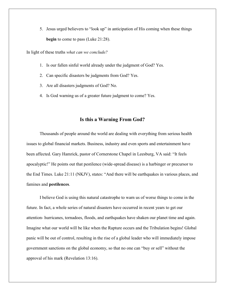5. Jesus urged believers to "look up" in anticipation of His coming when these things begin to come to pass (Luke 21:28).

In light of these truths what can we conclude?

- 1. Is our fallen sinful world already under the judgment of God? Yes.
- 2. Can specific disasters be judgments from God? Yes.
- 3. Are all disasters judgments of God? No.
- 4. Is God warning us of a greater future judgment to come? Yes.

#### Is this a Warning From God?

Thousands of people around the world are dealing with everything from serious health issues to global financial markets. Business, industry and even sports and entertainment have been affected. Gary Hamrick, pastor of Cornerstone Chapel in Leesburg, VA said: "It feels apocalyptic!" He points out that pestilence (wide-spread disease) is a harbinger or precursor to the End Times. Luke 21:11 (NKJV), states: "And there will be earthquakes in various places, and famines and pestilences.

 I believe God is using this natural catastrophe to warn us of worse things to come in the future. In fact, a whole series of natural disasters have occurred in recent years to get our attention- hurricanes, tornadoes, floods, and earthquakes have shaken our planet time and again. Imagine what our world will be like when the Rapture occurs and the Tribulation begins! Global panic will be out of control, resulting in the rise of a global leader who will immediately impose government sanctions on the global economy, so that no one can "buy or sell" without the approval of his mark (Revelation 13:16).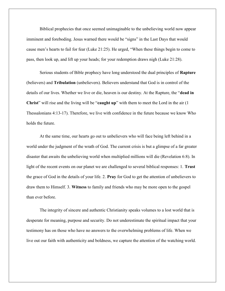Biblical prophecies that once seemed unimaginable to the unbelieving world now appear imminent and foreboding. Jesus warned there would be "signs" in the Last Days that would cause men's hearts to fail for fear (Luke 21:25). He urged, "When these things begin to come to pass, then look up, and lift up your heads; for your redemption draws nigh (Luke 21:28).

 Serious students of Bible prophecy have long understood the dual principles of Rapture (believers) and Tribulation (unbelievers). Believers understand that God is in control of the details of our lives. Whether we live or die, heaven is our destiny. At the Rapture, the "dead in Christ" will rise and the living will be "caught up" with them to meet the Lord in the air (1) Thessalonians 4:13-17). Therefore, we live with confidence in the future because we know Who holds the future.

 At the same time, our hearts go out to unbelievers who will face being left behind in a world under the judgment of the wrath of God. The current crisis is but a glimpse of a far greater disaster that awaits the unbelieving world when multiplied millions will die (Revelation 6:8). In light of the recent events on our planet we are challenged to several biblical responses: 1. Trust the grace of God in the details of your life. 2. Pray for God to get the attention of unbelievers to draw them to Himself. 3. Witness to family and friends who may be more open to the gospel than ever before.

 The integrity of sincere and authentic Christianity speaks volumes to a lost world that is desperate for meaning, purpose and security. Do not underestimate the spiritual impact that your testimony has on those who have no answers to the overwhelming problems of life. When we live out our faith with authenticity and boldness, we capture the attention of the watching world.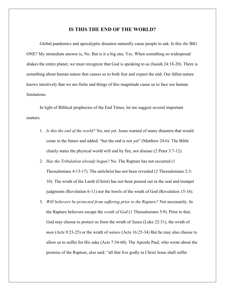#### IS THIS THE END OF THE WORLD?

Global pandemics and apocalyptic disasters naturally cause people to ask: Is this *the* BIG ONE? My immediate answer is, No. But is it a big one, Yes. When something so widespread shakes the entire planet, we must recognize that God is speaking to us (Isaiah 24:18-20). There is something about human nature that causes us to both fear and expect the end. Our fallen nature knows intuitively that we are finite and things of this magnitude cause us to face our human limitations.

 In light of Biblical prophecies of the End Times, let me suggest several important matters.

- 1. Is this the end of the world? No, not yet. Jesus warned of many disasters that would come in the future and added: "but the end is not yet" (Matthew 24:6). The Bible clearly states the physical world will end by fire, not disease (2 Peter 3:7-12).
- 2. Has the Tribulation already begun? No. The Rapture has not occurred (1) Thessalonians 4:13-17). The antichrist has not been revealed (2 Thessalonians 2:3- 10). The wrath of the Lamb (Christ) has not been poured out in the seal and trumpet judgments (Revelation 6-11) nor the bowls of the wrath of God (Revelation 15-16).
- 3. Will believers be protected from suffering prior to the Rapture? Not necessarily. In the Rapture believers escape the *wrath of God* (1 Thessalonians 5:9). Prior to that, God may choose to protect us from the wrath of *Satan* (Luke 22:31), the wrath of man (Acts 9:23-25) or the wrath of nature (Acts 16:25-34) But he may also choose to allow us to suffer for His sake (Acts 7:54-60). The Apostle Paul, who wrote about the promise of the Rapture, also said: "all that live godly in Christ Jesus shall suffer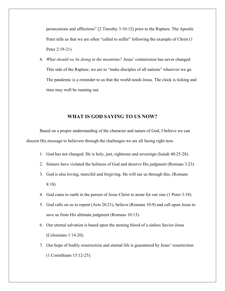persecutions and afflictions" (2 Timothy 3:10-12) prior to the Rapture. The Apostle Peter tells us that we are often "called to suffer" following the example of Christ (1 Peter 2:19-21).

4. What should we be doing in the meantime? Jesus' commission has never changed. This side of the Rapture, we are to "make disciples of all nations" wherever we go. The pandemic is a reminder to us that the world needs Jesus. The clock is ticking and time may well be running out.

#### WHAT IS GOD SAYING TO US NOW?

 Based on a proper understanding of the character and nature of God, I believe we can discern His message to believers through the challenges we are all facing right now.

- 1. God has not changed. He is holy, just, righteous and sovereign (Isaiah 40:25-28).
- 2. Sinners have violated the holiness of God and deserve His judgment (Romans 3:23).
- 3. God is also loving, merciful and forgiving. He will see us through this. (Romans 8:18)
- 4. God came to earth in the person of Jesus Christ to atone for our sins (1 Peter 3:18).
- 5. God calls on us to repent (Acts 20:21), believe (Romans 10:9) and call upon Jesus to save us from His ultimate judgment (Romans 10:13).
- 6. Our eternal salvation is based upon the atoning blood of a sinless Savior-Jesus (Colossians 1:14-20).
- 7. Our hope of bodily resurrection and eternal life is guaranteed by Jesus' resurrection (1 Corinthians 15:12-25).